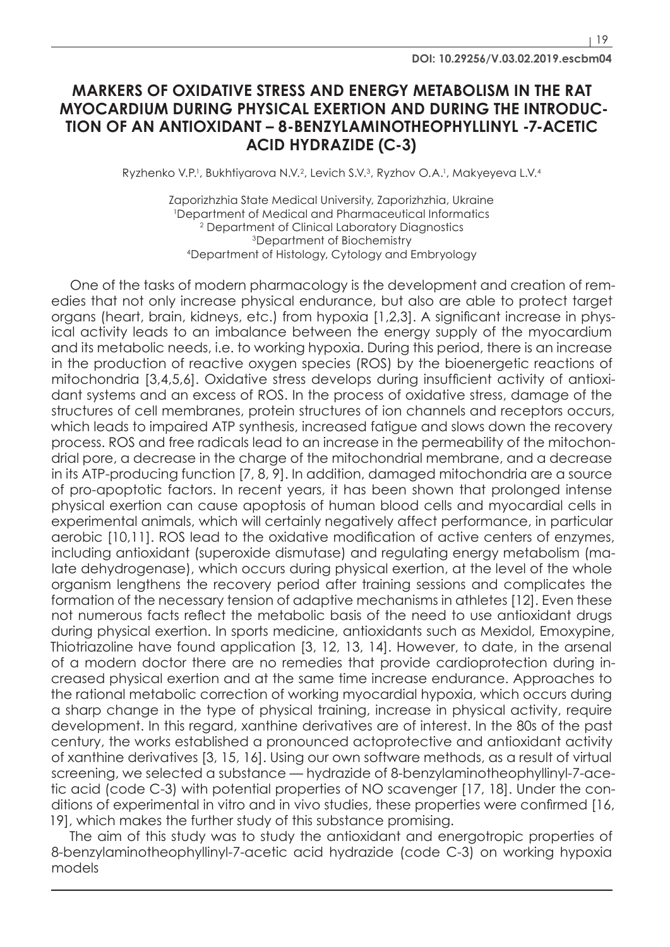# **MARKERS OF OXIDATIVE STRESS AND ENERGY METABOLISM IN THE RAT MYOCARDIUM DURING PHYSICAL EXERTION AND DURING THE INTRODUC-TION OF AN ANTIOXIDANT – 8-BENZYLAMINOTHEOPHYLLINYL -7-ACETIC ACID HYDRAZIDE (C-3)**

Ryzhenko V.P.<sup>1</sup>, Bukhtiyarova N.V.<sup>2</sup>, Levich S.V.<sup>3</sup>, Ryzhov O.A.<sup>1</sup>, Makyeyeva L.V.<sup>4</sup>

Zaporizhzhia State Medical University, Zaporizhzhia, Ukraine 1 Department of Medical and Pharmaceutical Informatics 2 Department of Clinical Laboratory Diagnostics 3Department of Biochemistry 4Department of Histology, Cytology and Embryology

One of the tasks of modern pharmacology is the development and creation of remedies that not only increase physical endurance, but also are able to protect target organs (heart, brain, kidneys, etc.) from hypoxia [1,2,3]. A significant increase in physical activity leads to an imbalance between the energy supply of the myocardium and its metabolic needs, i.e. to working hypoxia. During this period, there is an increase in the production of reactive oxygen species (ROS) by the bioenergetic reactions of mitochondria [3,4,5,6]. Oxidative stress develops during insufficient activity of antioxidant systems and an excess of ROS. In the process of oxidative stress, damage of the structures of cell membranes, protein structures of ion channels and receptors occurs, which leads to impaired ATP synthesis, increased fatigue and slows down the recovery process. ROS and free radicals lead to an increase in the permeability of the mitochondrial pore, a decrease in the charge of the mitochondrial membrane, and a decrease in its ATP-producing function [7, 8, 9]. In addition, damaged mitochondria are a source of pro-apoptotic factors. In recent years, it has been shown that prolonged intense physical exertion can cause apoptosis of human blood cells and myocardial cells in experimental animals, which will certainly negatively affect performance, in particular aerobic [10,11]. ROS lead to the oxidative modification of active centers of enzymes, including antioxidant (superoxide dismutase) and regulating energy metabolism (malate dehydrogenase), which occurs during physical exertion, at the level of the whole organism lengthens the recovery period after training sessions and complicates the formation of the necessary tension of adaptive mechanisms in athletes [12]. Even these not numerous facts reflect the metabolic basis of the need to use antioxidant drugs during physical exertion. In sports medicine, antioxidants such as Mexidol, Emoxypine, Thiotriazoline have found application [3, 12, 13, 14]. However, to date, in the arsenal of a modern doctor there are no remedies that provide cardioprotection during increased physical exertion and at the same time increase endurance. Approaches to the rational metabolic correction of working myocardial hypoxia, which occurs during a sharp change in the type of physical training, increase in physical activity, require development. In this regard, xanthine derivatives are of interest. In the 80s of the past century, the works established a pronounced actoprotective and antioxidant activity of xanthine derivatives [3, 15, 16]. Using our own software methods, as a result of virtual screening, we selected a substance — hydrazide of 8-benzylaminotheophyllinyl-7-acetic acid (code C-3) with potential properties of NO scavenger [17, 18]. Under the conditions of experimental in vitro and in vivo studies, these properties were confirmed [16, 19], which makes the further study of this substance promising.

The aim of this study was to study the antioxidant and energotropic properties of 8-benzylaminotheophyllinyl-7-acetic acid hydrazide (code C-3) on working hypoxia models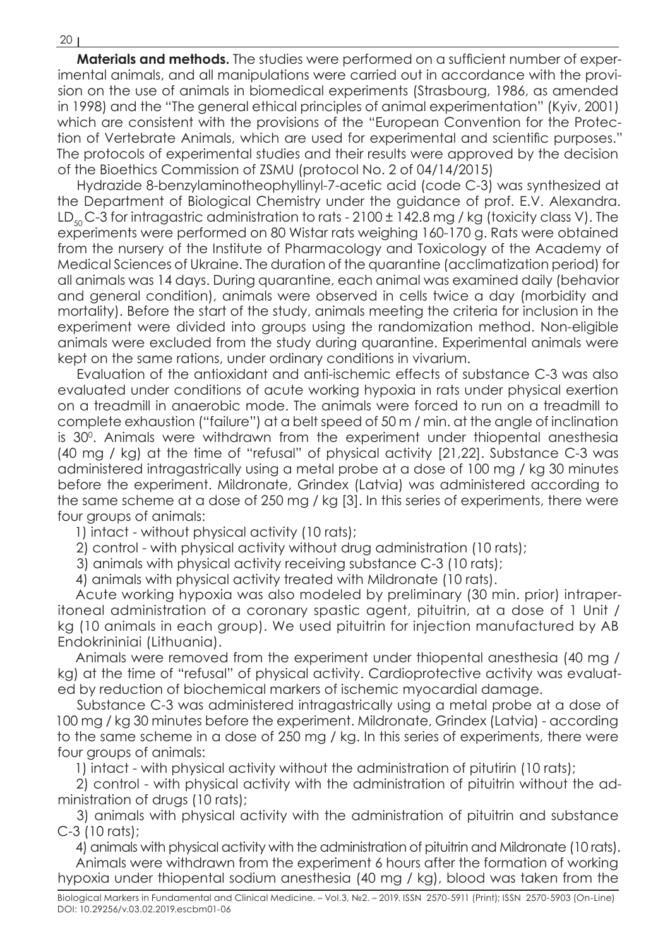**Materials and methods.** The studies were performed on a sufficient number of experimental animals, and all manipulations were carried out in accordance with the provision on the use of animals in biomedical experiments (Strasbourg, 1986, as amended in 1998) and the "The general ethical principles of animal experimentation" (Kyiv, 2001) which are consistent with the provisions of the "European Convention for the Protection of Vertebrate Animals, which are used for experimental and scientific purposes." The protocols of experimental studies and their results were approved by the decision of the Bioethics Commission of ZSMU (protocol No. 2 of 04/14/2015)

Hydrazide 8-benzylaminotheophyllinyl-7-acetic acid (code C-3) was synthesized at the Department of Biological Chemistry under the guidance of prof. E.V. Alexandra. LD<sub>50</sub> C-3 for intragastric administration to rats - 2100  $\pm$  142.8 mg / kg (toxicity class V). The experiments were performed on 80 Wistar rats weighing 160-170 g. Rats were obtained from the nursery of the Institute of Pharmacology and Toxicology of the Academy of Medical Sciences of Ukraine. The duration of the quarantine (acclimatization period) for all animals was 14 days. During quarantine, each animal was examined daily (behavior and general condition), animals were observed in cells twice a day (morbidity and mortality). Before the start of the study, animals meeting the criteria for inclusion in the experiment were divided into groups using the randomization method. Non-eligible animals were excluded from the study during quarantine. Experimental animals were kept on the same rations, under ordinary conditions in vivarium.

Evaluation of the antioxidant and anti-ischemic effects of substance C-3 was also evaluated under conditions of acute working hypoxia in rats under physical exertion on a treadmill in anaerobic mode. The animals were forced to run on a treadmill to complete exhaustion ("failure") at a belt speed of 50 m / min. at the angle of inclination is 30°. Animals were withdrawn from the experiment under thiopental anesthesia (40 mg / kg) at the time of "refusal" of physical activity [21,22]. Substance C-3 was administered intragastrically using a metal probe at a dose of 100 mg / kg 30 minutes before the experiment. Mildronate, Grindex (Latvia) was administered according to the same scheme at a dose of 250 mg / kg [3]. In this series of experiments, there were four groups of animals:

1) intact - without physical activity (10 rats);

2) control - with physical activity without drug administration (10 rats);

3) animals with physical activity receiving substance C-3 (10 rats);

4) animals with physical activity treated with Mildronate (10 rats).

Acute working hypoxia was also modeled by preliminary (30 min. prior) intraperitoneal administration of a coronary spastic agent, pituitrin, at a dose of 1 Unit / kg (10 animals in each group). We used pituitrin for injection manufactured by AB Endokrininiai (Lithuania).

Animals were removed from the experiment under thiopental anesthesia (40 mg / kg) at the time of "refusal" of physical activity. Cardioprotective activity was evaluated by reduction of biochemical markers of ischemic myocardial damage.

Substance C-3 was administered intragastrically using a metal probe at a dose of 100 mg / kg 30 minutes before the experiment. Mildronate, Grindex (Latvia) - according to the same scheme in a dose of 250 mg / kg. In this series of experiments, there were four groups of animals:

1) intact - with physical activity without the administration of pitutirin (10 rats);

2) control - with physical activity with the administration of pituitrin without the administration of drugs (10 rats);

3) animals with physical activity with the administration of pituitrin and substance C-3 (10 rats);

4) animals with physical activity with the administration of pituitrin and Mildronate (10 rats). Animals were withdrawn from the experiment 6 hours after the formation of working hypoxia under thiopental sodium anesthesia (40 mg / kg), blood was taken from the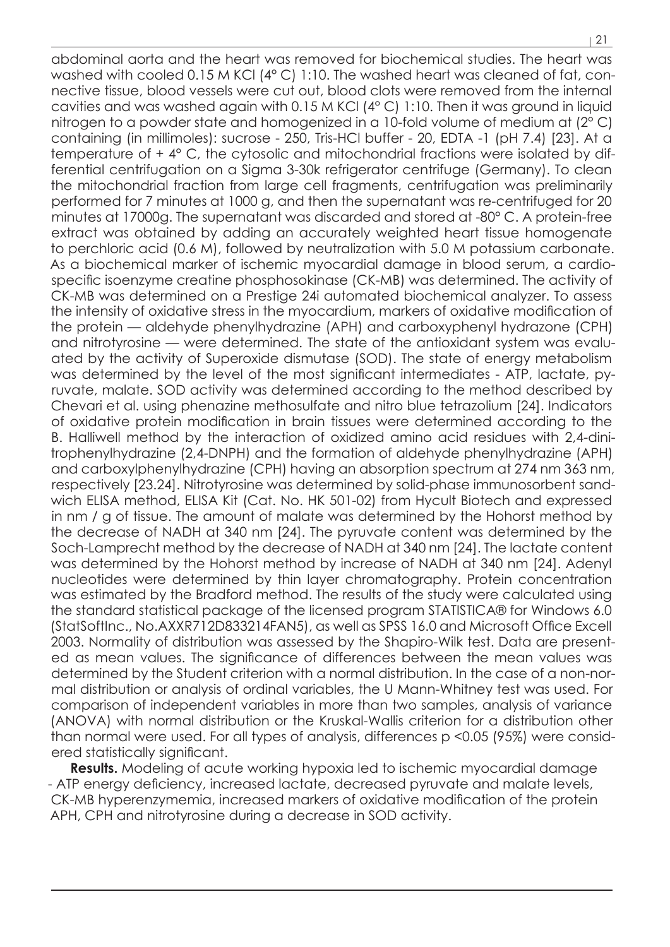abdominal aorta and the heart was removed for biochemical studies. The heart was washed with cooled 0.15 M KCl (4° C) 1:10. The washed heart was cleaned of fat, connective tissue, blood vessels were cut out, blood clots were removed from the internal cavities and was washed again with 0.15 M KCl (4° C) 1:10. Then it was ground in liquid nitrogen to a powder state and homogenized in a 10-fold volume of medium at (2° C) containing (in millimoles): sucrose - 250, Tris-HCl buffer - 20, EDTA -1 (pH 7.4) [23]. At a temperature of + 4° C, the cytosolic and mitochondrial fractions were isolated by differential centrifugation on a Sigma 3-30k refrigerator centrifuge (Germany). To clean the mitochondrial fraction from large cell fragments, centrifugation was preliminarily performed for 7 minutes at 1000 g, and then the supernatant was re-centrifuged for 20 minutes at 17000g. The supernatant was discarded and stored at -80° C. A protein-free extract was obtained by adding an accurately weighted heart tissue homogenate to perchloric acid (0.6 M), followed by neutralization with 5.0 M potassium carbonate. As a biochemical marker of ischemic myocardial damage in blood serum, a cardiospecific isoenzyme creatine phosphosokinase (CK-MB) was determined. The activity of CK-MB was determined on a Prestige 24i automated biochemical analyzer. To assess the intensity of oxidative stress in the myocardium, markers of oxidative modification of the protein — aldehyde phenylhydrazine (APH) and carboxyphenyl hydrazone (CPH) and nitrotyrosine — were determined. The state of the antioxidant system was evaluated by the activity of Superoxide dismutase (SOD). The state of energy metabolism was determined by the level of the most significant intermediates - ATP, lactate, pyruvate, malate. SOD activity was determined according to the method described by Chevari et al. using phenazine methosulfate and nitro blue tetrazolium [24]. Indicators of oxidative protein modification in brain tissues were determined according to the B. Halliwell method by the interaction of oxidized amino acid residues with 2,4-dinitrophenylhydrazine (2,4-DNPH) and the formation of aldehyde phenylhydrazine (APH) and carboxylphenylhydrazine (CPH) having an absorption spectrum at 274 nm 363 nm, respectively [23.24]. Nitrotyrosine was determined by solid-phase immunosorbent sandwich ELISA method, ELISA Kit (Cat. No. HK 501-02) from Hycult Biotech and expressed in nm / g of tissue. The amount of malate was determined by the Hohorst method by the decrease of NADH at 340 nm [24]. The pyruvate content was determined by the Soch-Lamprecht method by the decrease of NADH at 340 nm [24]. The lactate content was determined by the Hohorst method by increase of NADH at 340 nm [24]. Adenyl nucleotides were determined by thin layer chromatography. Protein concentration was estimated by the Bradford method. The results of the study were calculated using the standard statistical package of the licensed program STATISTICA® for Windows 6.0 (StatSoftInc., No.AXXR712D833214FAN5), as well as SPSS 16.0 and Microsoft Office Excell 2003. Normality of distribution was assessed by the Shapiro-Wilk test. Data are presented as mean values. The significance of differences between the mean values was determined by the Student criterion with a normal distribution. In the case of a non-normal distribution or analysis of ordinal variables, the U Mann-Whitney test was used. For comparison of independent variables in more than two samples, analysis of variance (ANOVA) with normal distribution or the Kruskal-Wallis criterion for a distribution other than normal were used. For all types of analysis, differences p <0.05 (95%) were considered statistically significant.

**Results.** Modeling of acute working hypoxia led to ischemic myocardial damage - ATP energy deficiency, increased lactate, decreased pyruvate and malate levels, CK-MB hyperenzymemia, increased markers of oxidative modification of the protein APH, CPH and nitrotyrosine during a decrease in SOD activity.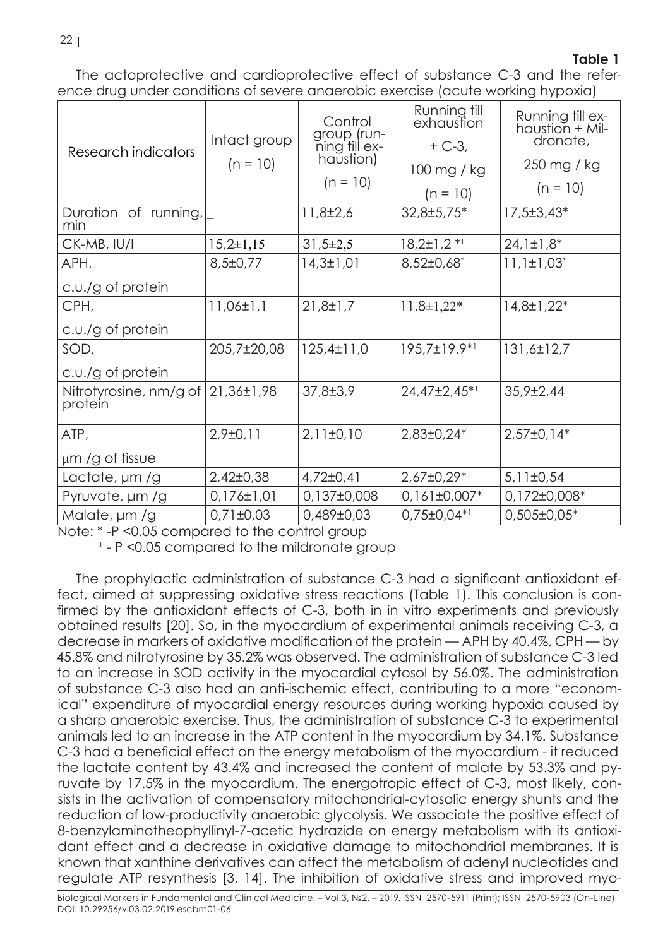## **Table 1**

The actoprotective and cardioprotective effect of substance C-3 and the reference drug under conditions of severe anaerobic exercise (acute working hypoxia)

| Research indicators               | Intact group<br>$(n = 10)$ | Control<br>qroup (run-<br>ning till ex-<br>haŭstion)<br>$(n = 10)$ | Running till<br>exhaustion<br>$+ C - 3$ ,<br>100 mg / kg<br>$(n = 10)$ | Running till ex-<br>haustion + Mil-<br>dronate,<br>250 mg / kg<br>$(n = 10)$ |
|-----------------------------------|----------------------------|--------------------------------------------------------------------|------------------------------------------------------------------------|------------------------------------------------------------------------------|
| Duration of running,<br>min       |                            | $11,8\pm2,6$                                                       | 32,8±5,75*                                                             | 17,5±3,43*                                                                   |
| CK-MB, IU/I                       | $15,2\pm1,15$              | $31,5\pm2,5$                                                       | $18,2\pm1,2*1$                                                         | $24,1\pm1,8*$                                                                |
| APH,                              | $8,5 \pm 0,77$             | $14,3 \pm 1,01$                                                    | $8,52\pm0,68$ <sup>*</sup>                                             | $11,1\pm1,03^*$                                                              |
| c.u./g of protein                 |                            |                                                                    |                                                                        |                                                                              |
| CPH,                              | $11,06 \pm 1,1$            | $21,8 \pm 1,7$                                                     | $11,8\pm1,22*$                                                         | $14,8 \pm 1,22^*$                                                            |
| c.u./g of protein                 |                            |                                                                    |                                                                        |                                                                              |
| SOD,                              | 205,7±20,08                | $125,4 \pm 11,0$                                                   | 195,7±19,9*1                                                           | $131,6 \pm 12,7$                                                             |
| $c.u/g$ of protein                |                            |                                                                    |                                                                        |                                                                              |
| Nitrotyrosine, nm/g of<br>protein | 21,36±1,98                 | $37,8 \pm 3,9$                                                     | 24,47±2,45*1                                                           | $35,9\pm2,44$                                                                |
| ATP,                              | $2,9\pm0,11$               | $2,11\pm0,10$                                                      | $2,83\pm0,24*$                                                         | $2,57\pm0,14*$                                                               |
| $\mu$ m /g of tissue              |                            |                                                                    |                                                                        |                                                                              |
| Lactate, um /g                    | $2,42\pm0,38$              | $4,72\pm0,41$                                                      | $2,67\pm0,29*1$                                                        | $5,11\pm0,54$                                                                |
| Pyruvate, um /g                   | $0,176 \pm 1,01$           | 0,137±0,008                                                        | $0,161\pm0,007*$                                                       | 0,172±0,008*                                                                 |
| Malate, µm /g                     | $0,71\pm0,03$              | 0,489±0,03                                                         | $0,75\pm0,04*1$                                                        | $0,505 \pm 0,05*$                                                            |

Note: \* -P <0.05 compared to the control group

<sup>1</sup> - P <0.05 compared to the mildronate group

The prophylactic administration of substance C-3 had a significant antioxidant effect, aimed at suppressing oxidative stress reactions (Table 1). This conclusion is confirmed by the antioxidant effects of C-3, both in in vitro experiments and previously obtained results [20]. So, in the myocardium of experimental animals receiving C-3, a decrease in markers of oxidative modification of the protein — APH by 40.4%, CPH — by 45.8% and nitrotyrosine by 35.2% was observed. The administration of substance C-3 led to an increase in SOD activity in the myocardial cytosol by 56.0%. The administration of substance C-3 also had an anti-ischemic effect, contributing to a more "economical" expenditure of myocardial energy resources during working hypoxia caused by a sharp anaerobic exercise. Thus, the administration of substance C-3 to experimental animals led to an increase in the ATP content in the myocardium by 34.1%. Substance C-3 had a beneficial effect on the energy metabolism of the myocardium - it reduced the lactate content by 43.4% and increased the content of malate by 53.3% and pyruvate by 17.5% in the myocardium. The energotropic effect of C-3, most likely, consists in the activation of compensatory mitochondrial-cytosolic energy shunts and the reduction of low-productivity anaerobic glycolysis. We associate the positive effect of 8-benzylaminotheophyllinyl-7-acetic hydrazide on energy metabolism with its antioxidant effect and a decrease in oxidative damage to mitochondrial membranes. It is known that xanthine derivatives can affect the metabolism of adenyl nucleotides and regulate ATP resynthesis [3, 14]. The inhibition of oxidative stress and improved myo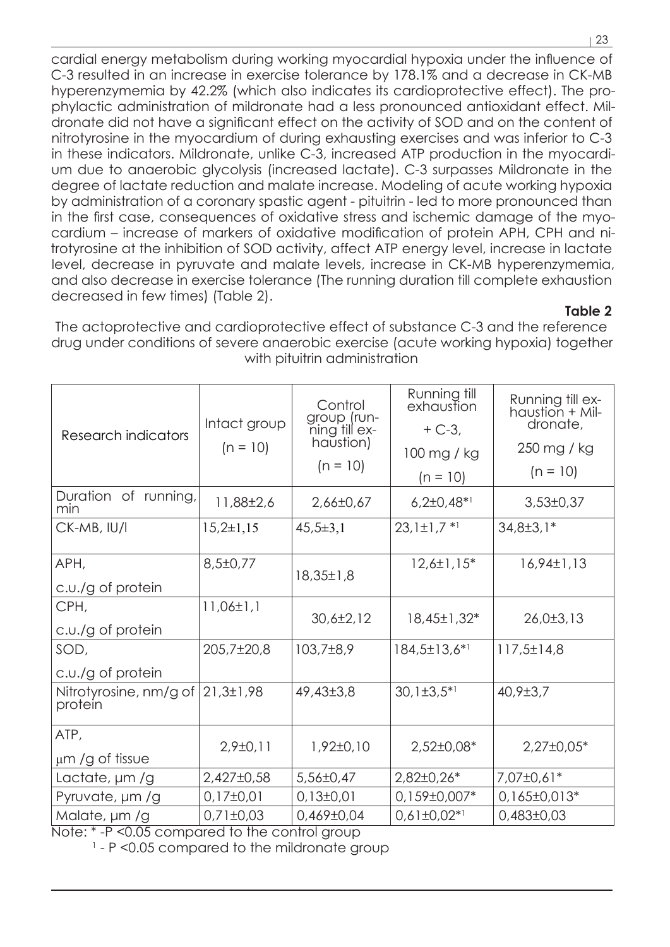cardial energy metabolism during working myocardial hypoxia under the influence of C-3 resulted in an increase in exercise tolerance by 178.1% and a decrease in CK-MB hyperenzymemia by 42.2% (which also indicates its cardioprotective effect). The prophylactic administration of mildronate had a less pronounced antioxidant effect. Mildronate did not have a significant effect on the activity of SOD and on the content of nitrotyrosine in the myocardium of during exhausting exercises and was inferior to C-3 in these indicators. Mildronate, unlike C-3, increased ATP production in the myocardium due to anaerobic glycolysis (increased lactate). C-3 surpasses Mildronate in the degree of lactate reduction and malate increase. Modeling of acute working hypoxia by administration of a coronary spastic agent - pituitrin - led to more pronounced than in the first case, consequences of oxidative stress and ischemic damage of the myocardium – increase of markers of oxidative modification of protein APH, CPH and nitrotyrosine at the inhibition of SOD activity, affect ATP energy level, increase in lactate level, decrease in pyruvate and malate levels, increase in CK-MB hyperenzymemia, and also decrease in exercise tolerance (The running duration till complete exhaustion decreased in few times) (Table 2).

## **Table 2**

The actoprotective and cardioprotective effect of substance C-3 and the reference drug under conditions of severe anaerobic exercise (acute working hypoxia) together with pituitrin administration

| Research indicators               | Intact group<br>$(n = 10)$ | Control<br>group (run-<br>ning till ex-<br>haustion) | Running till<br>exhaustion<br>$+ C-3,$ | Running till ex-<br>haustion + Mil-<br>dronate, |
|-----------------------------------|----------------------------|------------------------------------------------------|----------------------------------------|-------------------------------------------------|
|                                   |                            |                                                      | 100 mg / kg                            | 250 mg / kg                                     |
|                                   |                            | $(n = 10)$                                           | $(n = 10)$                             | $(n = 10)$                                      |
| Duration of running,<br>min       | 11,88±2,6                  | 2,66±0,67                                            | $6,2\pm0,48$ * <sup>1</sup>            | $3,53\pm0,37$                                   |
| CK-MB, IU/I                       | $15,2\pm1,15$              | $45,5 \pm 3,1$                                       | $23,1\pm1,7$ <sup>*1</sup>             | $34,8 \pm 3,1*$                                 |
| APH,                              | $8,5 \pm 0,77$             |                                                      | $12,6 \pm 1,15^*$                      | 16,94±1,13                                      |
| c.u./g of protein                 |                            | $18,35 \pm 1,8$                                      |                                        |                                                 |
| CPH,                              | $11,06 \pm 1,1$            | $30,6 \pm 2,12$                                      | 18,45±1,32*                            | 26,0±3,13                                       |
| c.u./g of protein                 |                            |                                                      |                                        |                                                 |
| SOD,                              | 205,7±20,8                 | $103,7\pm8,9$                                        | $184,5\pm13,6^{*1}$                    | $117,5 \pm 14.8$                                |
| c.u./g of protein                 |                            |                                                      |                                        |                                                 |
| Nitrotyrosine, nm/g of<br>protein | 21,3±1,98                  | 49,43±3,8                                            | $30,1\pm3,5*1$                         | $40,9{\pm}3,7$                                  |
| ATP,                              |                            |                                                      |                                        |                                                 |
| µm /g of tissue                   | $2,9\pm0,11$               | $1,92 \pm 0,10$                                      | $2,52\pm0.08*$                         | $2,27\pm0,05*$                                  |
| Lactate, um /g                    | $2,427\pm0,58$             | $5,56 \pm 0,47$                                      | $2,82\pm0,26*$                         | 7,07±0,61*                                      |
| Pyruvate, um /g                   | $0,17\pm0,01$              | $0,13\pm0,01$                                        | 0,159±0,007*                           | $0,165 \pm 0,013*$                              |
| Malate, µm /g                     | $0,71\pm0,03$              | $0,469\pm0,04$                                       | $0,61\pm0,02*1$                        | $0,483\pm0,03$                                  |

Note: \* -P <0.05 compared to the control group

<sup>1</sup> - P <0.05 compared to the mildronate group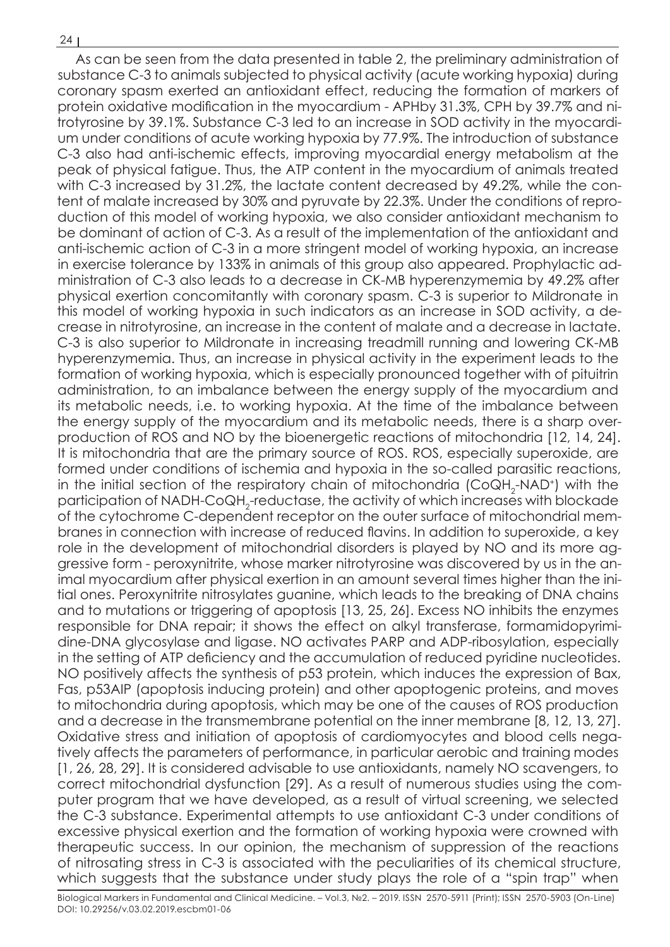As can be seen from the data presented in table 2, the preliminary administration of substance C-3 to animals subjected to physical activity (acute working hypoxia) during coronary spasm exerted an antioxidant effect, reducing the formation of markers of protein oxidative modification in the myocardium - APHby 31.3%, CPH by 39.7% and nitrotyrosine by 39.1%. Substance C-3 led to an increase in SOD activity in the myocardium under conditions of acute working hypoxia by 77.9%. The introduction of substance C-3 also had anti-ischemic effects, improving myocardial energy metabolism at the peak of physical fatigue. Thus, the ATP content in the myocardium of animals treated with C-3 increased by 31.2%, the lactate content decreased by 49.2%, while the content of malate increased by 30% and pyruvate by 22.3%. Under the conditions of reproduction of this model of working hypoxia, we also consider antioxidant mechanism to be dominant of action of C-3. As a result of the implementation of the antioxidant and anti-ischemic action of C-3 in a more stringent model of working hypoxia, an increase in exercise tolerance by 133% in animals of this group also appeared. Prophylactic administration of C-3 also leads to a decrease in CK-MB hyperenzymemia by 49.2% after physical exertion concomitantly with coronary spasm. C-3 is superior to Mildronate in this model of working hypoxia in such indicators as an increase in SOD activity, a decrease in nitrotyrosine, an increase in the content of malate and a decrease in lactate. C-3 is also superior to Mildronate in increasing treadmill running and lowering CK-MB hyperenzymemia. Thus, an increase in physical activity in the experiment leads to the formation of working hypoxia, which is especially pronounced together with of pituitrin administration, to an imbalance between the energy supply of the myocardium and its metabolic needs, i.e. to working hypoxia. At the time of the imbalance between the energy supply of the myocardium and its metabolic needs, there is a sharp overproduction of ROS and NO by the bioenergetic reactions of mitochondria [12, 14, 24]. It is mitochondria that are the primary source of ROS. ROS, especially superoxide, are formed under conditions of ischemia and hypoxia in the so-called parasitic reactions, in the initial section of the respiratory chain of mitochondria (CoQH<sub>2</sub>-NAD+) with the participation of NADH-CoQH<sub>2</sub>-reductase, the activity of which increases with blockade of the cytochrome C-dependent receptor on the outer surface of mitochondrial membranes in connection with increase of reduced flavins. In addition to superoxide, a key role in the development of mitochondrial disorders is played by NO and its more aggressive form - peroxynitrite, whose marker nitrotyrosine was discovered by us in the animal myocardium after physical exertion in an amount several times higher than the initial ones. Peroxynitrite nitrosylates guanine, which leads to the breaking of DNA chains and to mutations or triggering of apoptosis [13, 25, 26]. Excess NO inhibits the enzymes responsible for DNA repair; it shows the effect on alkyl transferase, formamidopyrimidine-DNA glycosylase and ligase. NO activates PARP and ADP-ribosylation, especially in the setting of ATP deficiency and the accumulation of reduced pyridine nucleotides. NO positively affects the synthesis of p53 protein, which induces the expression of Bax, Fas, p53AIP (apoptosis inducing protein) and other apoptogenic proteins, and moves to mitochondria during apoptosis, which may be one of the causes of ROS production and a decrease in the transmembrane potential on the inner membrane [8, 12, 13, 27]. Oxidative stress and initiation of apoptosis of cardiomyocytes and blood cells negatively affects the parameters of performance, in particular aerobic and training modes [1, 26, 28, 29]. It is considered advisable to use antioxidants, namely NO scavengers, to correct mitochondrial dysfunction [29]. As a result of numerous studies using the computer program that we have developed, as a result of virtual screening, we selected the C-3 substance. Experimental attempts to use antioxidant C-3 under conditions of excessive physical exertion and the formation of working hypoxia were crowned with therapeutic success. In our opinion, the mechanism of suppression of the reactions of nitrosating stress in C-3 is associated with the peculiarities of its chemical structure, which suggests that the substance under study plays the role of a "spin trap" when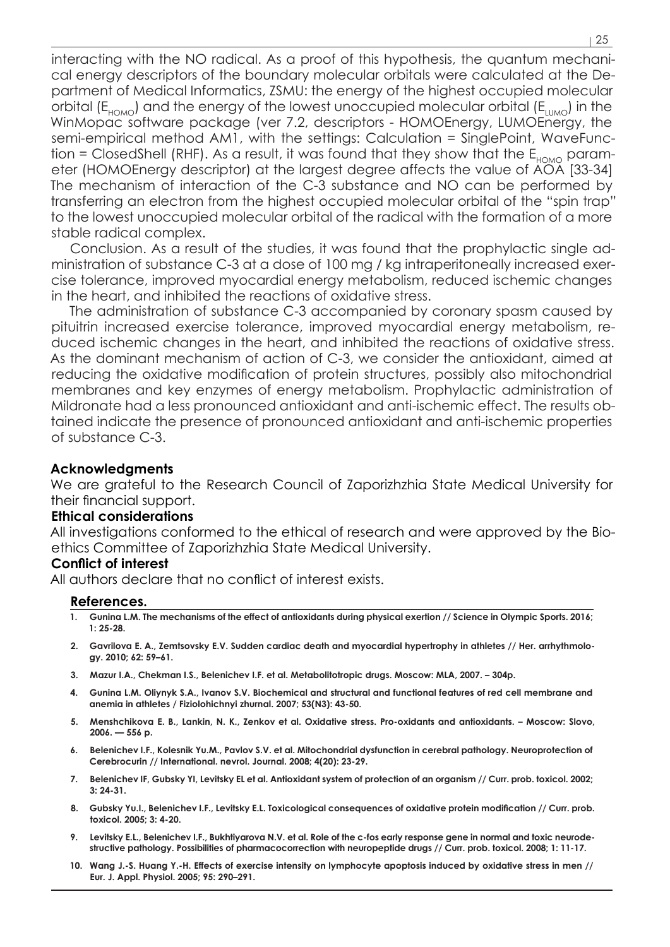interacting with the NO radical. As a proof of this hypothesis, the quantum mechanical energy descriptors of the boundary molecular orbitals were calculated at the Department of Medical Informatics, ZSMU: the energy of the highest occupied molecular orbital  $(E_{HOMO})$  and the energy of the lowest unoccupied molecular orbital  $(E_{HOMO})$  in the WinMopac software package (ver 7.2, descriptors - HOMOEnergy, LUMOEnergy, the semi-empirical method AM1, with the settings: Calculation = SinglePoint, WaveFunc $t$  tion = ClosedShell (RHF). As a result, it was found that they show that the  $E_{HOMO}$  parameter (HOMOEnergy descriptor) at the largest degree affects the value of AOA [33-34] The mechanism of interaction of the C-3 substance and NO can be performed by transferring an electron from the highest occupied molecular orbital of the "spin trap" to the lowest unoccupied molecular orbital of the radical with the formation of a more stable radical complex.

Conclusion. As a result of the studies, it was found that the prophylactic single administration of substance C-3 at a dose of 100 mg / kg intraperitoneally increased exercise tolerance, improved myocardial energy metabolism, reduced ischemic changes in the heart, and inhibited the reactions of oxidative stress.

The administration of substance C-3 accompanied by coronary spasm caused by pituitrin increased exercise tolerance, improved myocardial energy metabolism, reduced ischemic changes in the heart, and inhibited the reactions of oxidative stress. As the dominant mechanism of action of C-3, we consider the antioxidant, aimed at reducing the oxidative modification of protein structures, possibly also mitochondrial membranes and key enzymes of energy metabolism. Prophylactic administration of Mildronate had a less pronounced antioxidant and anti-ischemic effect. The results obtained indicate the presence of pronounced antioxidant and anti-ischemic properties of substance C-3.

### **Acknowledgments**

We are grateful to the Research Council of Zaporizhzhia State Medical University for their financial support.

### **Ethical considerations**

All investigations conformed to the ethical of research and were approved by the Bioethics Committee of Zaporizhzhia State Medical University.

### **Conflict of interest**

All authors declare that no conflict of interest exists.

#### **References.**

- **1. Gunina L.M. The mechanisms of the effect of antioxidants during physical exertion // Science in Olympic Sports. 2016; 1: 25-28.**
- **2. Gavrilova E. A., Zemtsovsky E.V. Sudden cardiac death and myocardial hypertrophy in athletes // Her. arrhythmology. 2010; 62: 59–61.**
- **3. Mazur I.A., Chekman I.S., Belenichev I.F. et al. Metabolitotropic drugs. Moscow: MLA, 2007. 304p.**
- **4. Gunina L.M. Oliynyk S.A., Ivanov S.V. Biochemical and structural and functional features of red cell membrane and anemia in athletes / Fiziolohichnyi zhurnal. 2007; 53(N3): 43-50.**
- **5. Menshchikova E. B., Lankin, N. K., Zenkov et al. Oxidative stress. Pro-oxidants and antioxidants. Мoscow: Slovo, 2006. — 556 p.**
- **6. Belenichev I.F., Kolesnik Yu.M., Pavlov S.V. et al. Mitochondrial dysfunction in cerebral pathology. Neuroprotection of Cerebrocurin // International. nevrol. Journal. 2008; 4(20): 23-29.**
- **7. Belenichev IF, Gubsky YI, Levitsky EL et al. Antioxidant system of protection of an organism // Curr. prob. toxicol. 2002; 3: 24-31.**
- **8. Gubsky Yu.I., Belenichev I.F., Levitsky E.L. Toxicological consequences of oxidative protein modification // Curr. prob. toxicol. 2005; 3: 4-20.**
- **9. Levitsky E.L., Belenichev I.F., Bukhtiyarova N.V. et al. Role of the c-fos early response gene in normal and toxic neurodestructive pathology. Possibilities of pharmacocorrection with neuropeptide drugs // Curr. prob. toxicol. 2008; 1: 11-17.**
- **10. Wang J.-S. Huang Y.-H. Effects of exercise intensity on lymphocyte apoptosis induced by oxidative stress in men // Eur. J. Appl. Physiol. 2005; 95: 290–291.**